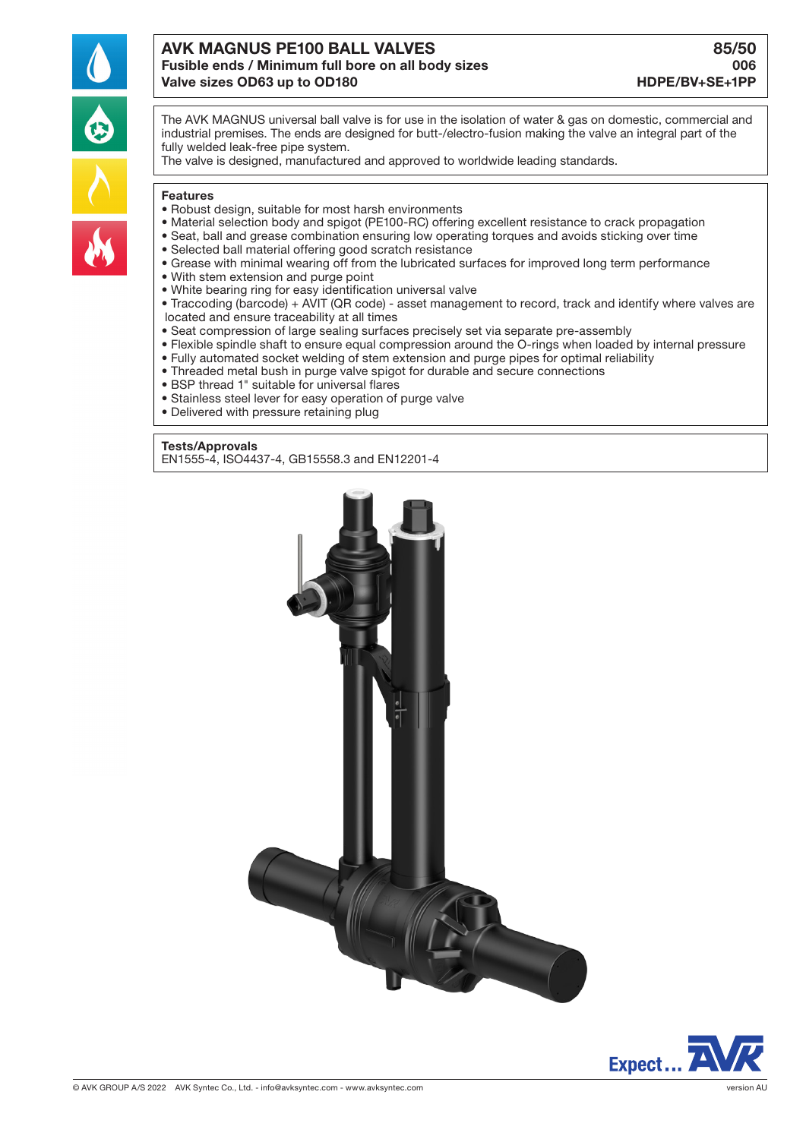

# AVK MAGNUS PE100 BALL VALVES AND SENSION BASISO Fusible ends / Minimum full bore on all body sizes 006 Valve sizes OD63 up to OD180 HDPE/BV+SE+1PP

The AVK MAGNUS universal ball valve is for use in the isolation of water & gas on domestic, commercial and industrial premises. The ends are designed for butt-/electro-fusion making the valve an integral part of the fully welded leak-free pipe system.

The valve is designed, manufactured and approved to worldwide leading standards.

#### Features

- Robust design, suitable for most harsh environments
- Material selection body and spigot (PE100-RC) offering excellent resistance to crack propagation
- Seat, ball and grease combination ensuring low operating torques and avoids sticking over time
- Selected ball material offering good scratch resistance
- Grease with minimal wearing off from the lubricated surfaces for improved long term performance
- With stem extension and purge point
- White bearing ring for easy identification universal valve
- Traccoding (barcode) + AVIT (QR code) asset management to record, track and identify where valves are located and ensure traceability at all times
- Seat compression of large sealing surfaces precisely set via separate pre-assembly
- Flexible spindle shaft to ensure equal compression around the O-rings when loaded by internal pressure
- Fully automated socket welding of stem extension and purge pipes for optimal reliability
- Threaded metal bush in purge valve spigot for durable and secure connections
- BSP thread 1" suitable for universal flares
- Stainless steel lever for easy operation of purge valve
- Delivered with pressure retaining plug

### Tests/Approvals

EN1555-4, ISO4437-4, GB15558.3 and EN12201-4